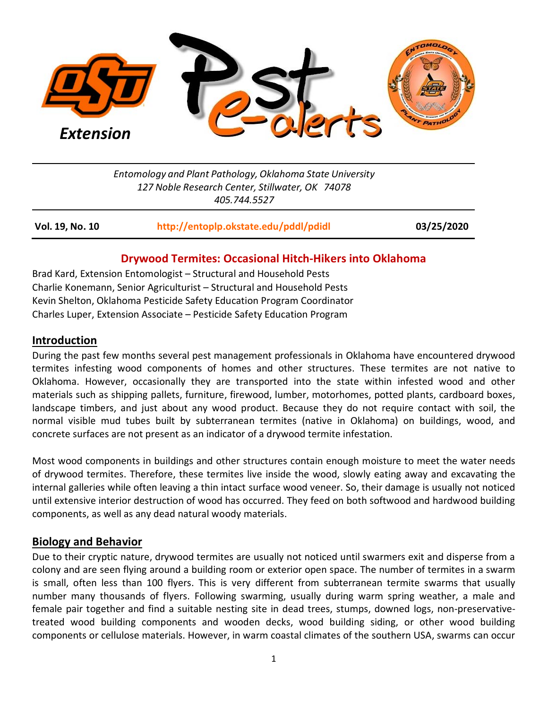

*Entomology and Plant Pathology, Oklahoma State University 127 Noble Research Center, Stillwater, OK 74078 405.744.5527*

| Vol. 19, No. 10 | http://entoplp.okstate.edu/pddl/pdidl | 03/25/2020 |
|-----------------|---------------------------------------|------------|
|                 |                                       |            |

## **Drywood Termites: Occasional Hitch-Hikers into Oklahoma**

Brad Kard, Extension Entomologist – Structural and Household Pests Charlie Konemann, Senior Agriculturist – Structural and Household Pests Kevin Shelton, Oklahoma Pesticide Safety Education Program Coordinator Charles Luper, Extension Associate – Pesticide Safety Education Program

### **Introduction**

During the past few months several pest management professionals in Oklahoma have encountered drywood termites infesting wood components of homes and other structures. These termites are not native to Oklahoma. However, occasionally they are transported into the state within infested wood and other materials such as shipping pallets, furniture, firewood, lumber, motorhomes, potted plants, cardboard boxes, landscape timbers, and just about any wood product. Because they do not require contact with soil, the normal visible mud tubes built by subterranean termites (native in Oklahoma) on buildings, wood, and concrete surfaces are not present as an indicator of a drywood termite infestation.

Most wood components in buildings and other structures contain enough moisture to meet the water needs of drywood termites. Therefore, these termites live inside the wood, slowly eating away and excavating the internal galleries while often leaving a thin intact surface wood veneer. So, their damage is usually not noticed until extensive interior destruction of wood has occurred. They feed on both softwood and hardwood building components, as well as any dead natural woody materials.

#### **Biology and Behavior**

Due to their cryptic nature, drywood termites are usually not noticed until swarmers exit and disperse from a colony and are seen flying around a building room or exterior open space. The number of termites in a swarm is small, often less than 100 flyers. This is very different from subterranean termite swarms that usually number many thousands of flyers. Following swarming, usually during warm spring weather, a male and female pair together and find a suitable nesting site in dead trees, stumps, downed logs, non-preservativetreated wood building components and wooden decks, wood building siding, or other wood building components or cellulose materials. However, in warm coastal climates of the southern USA, swarms can occur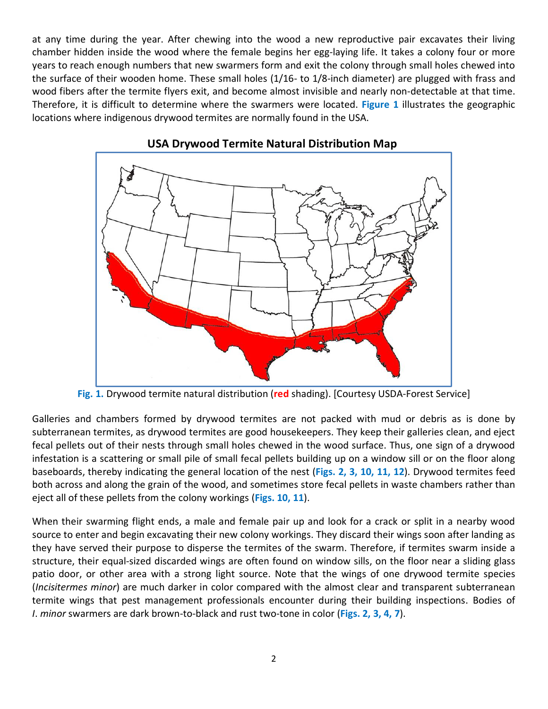at any time during the year. After chewing into the wood a new reproductive pair excavates their living chamber hidden inside the wood where the female begins her egg-laying life. It takes a colony four or more years to reach enough numbers that new swarmers form and exit the colony through small holes chewed into the surface of their wooden home. These small holes (1/16- to 1/8-inch diameter) are plugged with frass and wood fibers after the termite flyers exit, and become almost invisible and nearly non-detectable at that time. Therefore, it is difficult to determine where the swarmers were located. **Figure 1** illustrates the geographic locations where indigenous drywood termites are normally found in the USA.



# **USA Drywood Termite Natural Distribution Map**

**Fig. 1.** Drywood termite natural distribution (**red** shading). [Courtesy USDA-Forest Service]

Galleries and chambers formed by drywood termites are not packed with mud or debris as is done by subterranean termites, as drywood termites are good housekeepers. They keep their galleries clean, and eject fecal pellets out of their nests through small holes chewed in the wood surface. Thus, one sign of a drywood infestation is a scattering or small pile of small fecal pellets building up on a window sill or on the floor along baseboards, thereby indicating the general location of the nest (**Figs. 2, 3, 10, 11, 12**). Drywood termites feed both across and along the grain of the wood, and sometimes store fecal pellets in waste chambers rather than eject all of these pellets from the colony workings (**Figs. 10, 11**).

When their swarming flight ends, a male and female pair up and look for a crack or split in a nearby wood source to enter and begin excavating their new colony workings. They discard their wings soon after landing as they have served their purpose to disperse the termites of the swarm. Therefore, if termites swarm inside a structure, their equal-sized discarded wings are often found on window sills, on the floor near a sliding glass patio door, or other area with a strong light source. Note that the wings of one drywood termite species (*Incisitermes minor*) are much darker in color compared with the almost clear and transparent subterranean termite wings that pest management professionals encounter during their building inspections. Bodies of *I*. *minor* swarmers are dark brown-to-black and rust two-tone in color (**Figs. 2, 3, 4, 7**).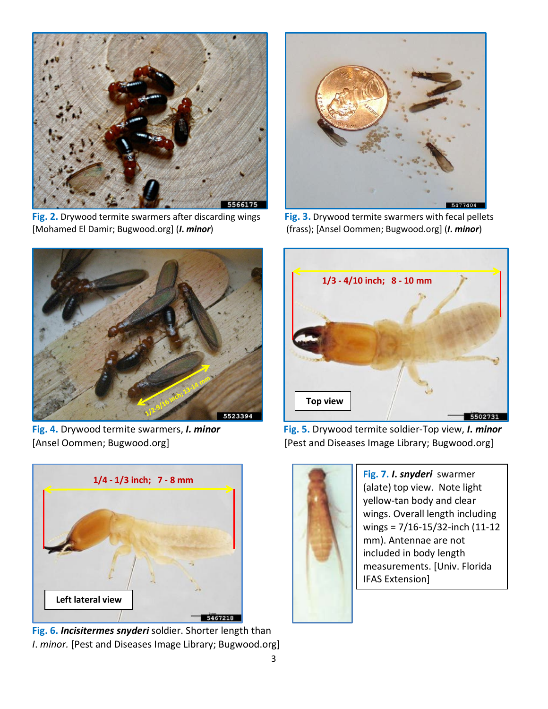

**Fig. 2.** Drywood termite swarmers after discarding wings **Fig. 3.** Drywood termite swarmers with fecal pellets [Mohamed El Damir; Bugwood.org] (*I***.** *minor*) (frass); [Ansel Oommen; Bugwood.org] (*I***.** *minor*)







**Fig. 6.** *Incisitermes snyderi* soldier. Shorter length than *I*. *minor.* [Pest and Diseases Image Library; Bugwood.org]



**Fig. 4.** Drywood termite swarmers, *I. minor* **Fig. 5.** Drywood termite soldier-Top view, *I***.** *minor* [Ansel Oommen; Bugwood.org] [Pest and Diseases Image Library; Bugwood.org]



(alate) top view. Note light yellow-tan body and clear wings. Overall length including wings = 7/16-15/32-inch (11-12 mm). Antennae are not included in body length measurements. [Univ. Florida IFAS Extension]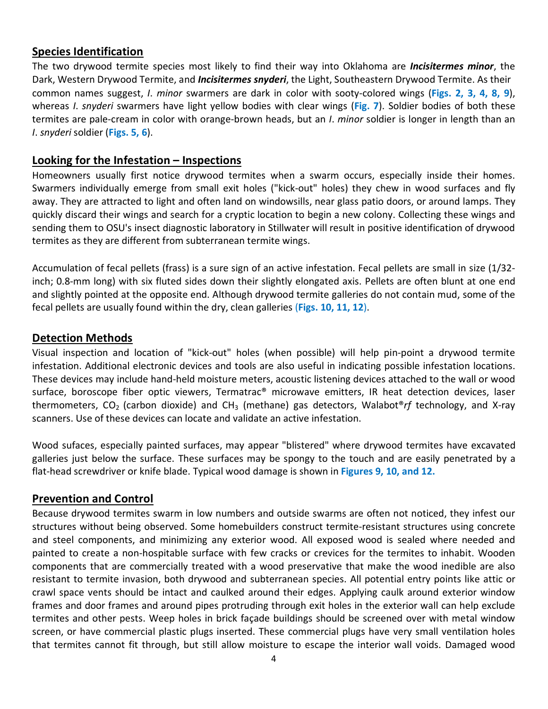### **Species Identification**

The two drywood termite species most likely to find their way into Oklahoma are *Incisitermes minor*, the Dark, Western Drywood Termite, and *Incisitermes snyderi*, the Light, Southeastern Drywood Termite. As their common names suggest, *I*. *minor* swarmers are dark in color with sooty-colored wings (**Figs. 2, 3, 4, 8, 9**), whereas *I*. *snyderi* swarmers have light yellow bodies with clear wings (**Fig. 7**). Soldier bodies of both these termites are pale-cream in color with orange-brown heads, but an *I*. *minor* soldier is longer in length than an *I*. *snyderi* soldier (**Figs. 5, 6**).

#### **Looking for the Infestation – Inspections**

Homeowners usually first notice drywood termites when a swarm occurs, especially inside their homes. Swarmers individually emerge from small exit holes ("kick-out" holes) they chew in wood surfaces and fly away. They are attracted to light and often land on windowsills, near glass patio doors, or around lamps. They quickly discard their wings and search for a cryptic location to begin a new colony. Collecting these wings and sending them to OSU's insect diagnostic laboratory in Stillwater will result in positive identification of drywood termites as they are different from subterranean termite wings.

Accumulation of fecal pellets (frass) is a sure sign of an active infestation. Fecal pellets are small in size (1/32 inch; 0.8-mm long) with six fluted sides down their slightly elongated axis. Pellets are often blunt at one end and slightly pointed at the opposite end. Although drywood termite galleries do not contain mud, some of the fecal pellets are usually found within the dry, clean galleries (**Figs. 10, 11, 12**).

#### **Detection Methods**

Visual inspection and location of "kick-out" holes (when possible) will help pin-point a drywood termite infestation. Additional electronic devices and tools are also useful in indicating possible infestation locations. These devices may include hand-held moisture meters, acoustic listening devices attached to the wall or wood surface, boroscope fiber optic viewers, Termatrac® microwave emitters, IR heat detection devices, laser thermometers, CO<sub>2</sub> (carbon dioxide) and CH<sub>3</sub> (methane) gas detectors, Walabot<sup>®</sup>rf technology, and X-ray scanners. Use of these devices can locate and validate an active infestation.

Wood sufaces, especially painted surfaces, may appear "blistered" where drywood termites have excavated galleries just below the surface. These surfaces may be spongy to the touch and are easily penetrated by a flat-head screwdriver or knife blade. Typical wood damage is shown in **Figures 9, 10, and 12.**

## **Prevention and Control**

Because drywood termites swarm in low numbers and outside swarms are often not noticed, they infest our structures without being observed. Some homebuilders construct termite-resistant structures using concrete and steel components, and minimizing any exterior wood. All exposed wood is sealed where needed and painted to create a non-hospitable surface with few cracks or crevices for the termites to inhabit. Wooden components that are commercially treated with a wood preservative that make the wood inedible are also resistant to termite invasion, both drywood and subterranean species. All potential entry points like attic or crawl space vents should be intact and caulked around their edges. Applying caulk around exterior window frames and door frames and around pipes protruding through exit holes in the exterior wall can help exclude termites and other pests. Weep holes in brick façade buildings should be screened over with metal window screen, or have commercial plastic plugs inserted. These commercial plugs have very small ventilation holes that termites cannot fit through, but still allow moisture to escape the interior wall voids. Damaged wood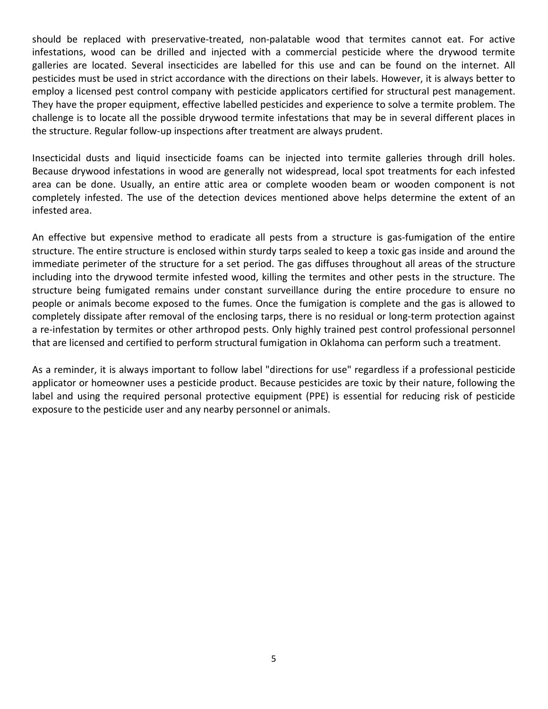should be replaced with preservative-treated, non-palatable wood that termites cannot eat. For active infestations, wood can be drilled and injected with a commercial pesticide where the drywood termite galleries are located. Several insecticides are labelled for this use and can be found on the internet. All pesticides must be used in strict accordance with the directions on their labels. However, it is always better to employ a licensed pest control company with pesticide applicators certified for structural pest management. They have the proper equipment, effective labelled pesticides and experience to solve a termite problem. The challenge is to locate all the possible drywood termite infestations that may be in several different places in the structure. Regular follow-up inspections after treatment are always prudent.

Insecticidal dusts and liquid insecticide foams can be injected into termite galleries through drill holes. Because drywood infestations in wood are generally not widespread, local spot treatments for each infested area can be done. Usually, an entire attic area or complete wooden beam or wooden component is not completely infested. The use of the detection devices mentioned above helps determine the extent of an infested area.

An effective but expensive method to eradicate all pests from a structure is gas-fumigation of the entire structure. The entire structure is enclosed within sturdy tarps sealed to keep a toxic gas inside and around the immediate perimeter of the structure for a set period. The gas diffuses throughout all areas of the structure including into the drywood termite infested wood, killing the termites and other pests in the structure. The structure being fumigated remains under constant surveillance during the entire procedure to ensure no people or animals become exposed to the fumes. Once the fumigation is complete and the gas is allowed to completely dissipate after removal of the enclosing tarps, there is no residual or long-term protection against a re-infestation by termites or other arthropod pests. Only highly trained pest control professional personnel that are licensed and certified to perform structural fumigation in Oklahoma can perform such a treatment.

As a reminder, it is always important to follow label "directions for use" regardless if a professional pesticide applicator or homeowner uses a pesticide product. Because pesticides are toxic by their nature, following the label and using the required personal protective equipment (PPE) is essential for reducing risk of pesticide exposure to the pesticide user and any nearby personnel or animals.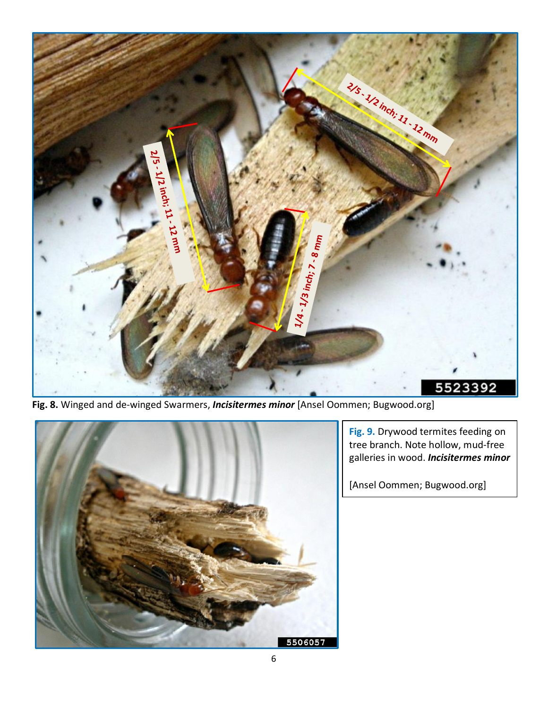

**Fig. 8.** Winged and de-winged Swarmers, *Incisitermes minor* [Ansel Oommen; Bugwood.org]



**Fig. 9.** Drywood termites feeding on tree branch. Note hollow, mud-free galleries in wood. *Incisitermes minor*

[Ansel Oommen; Bugwood.org]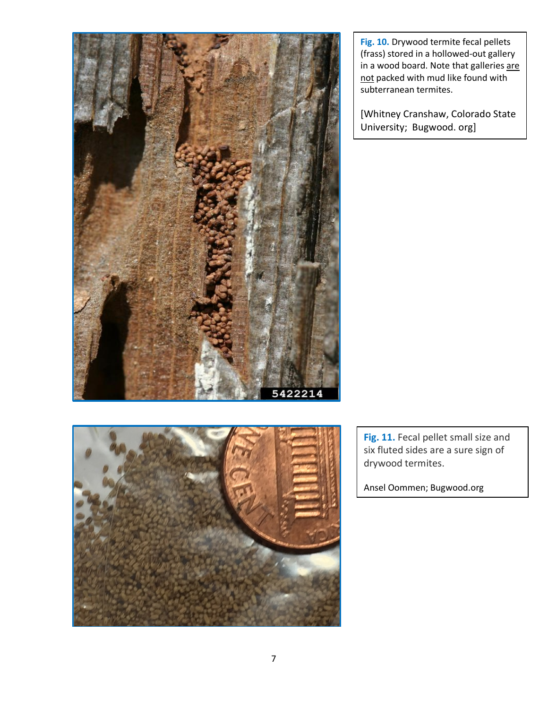

**Fig. 10.** Drywood termite fecal pellets (frass) stored in a hollowed-out gallery in a wood board. Note that galleries are not packed with mud like found with subterranean termites.

[Whitney Cranshaw, Colorado State University; Bugwood. org]



Fig. 11. Fecal pellet small size and six fluted sides are a sure sign of drywood termites.

Ansel Oommen; Bugwood.org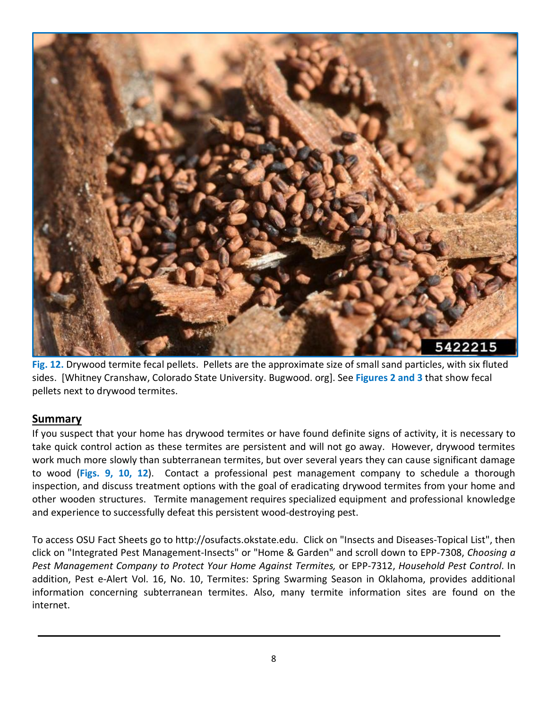

**Fig. 12.** Drywood termite fecal pellets. Pellets are the approximate size of small sand particles, with six fluted sides. [Whitney Cranshaw, Colorado State University. Bugwood. org]. See **Figures 2 and 3** that show fecal pellets next to drywood termites.

## **Summary**

If you suspect that your home has drywood termites or have found definite signs of activity, it is necessary to take quick control action as these termites are persistent and will not go away. However, drywood termites work much more slowly than subterranean termites, but over several years they can cause significant damage to wood (**Figs. 9, 10, 12**). Contact a professional pest management company to schedule a thorough inspection, and discuss treatment options with the goal of eradicating drywood termites from your home and other wooden structures. Termite management requires specialized equipment and professional knowledge and experience to successfully defeat this persistent wood-destroying pest.

To access OSU Fact Sheets go to http://osufacts.okstate.edu. Click on "Insects and Diseases-Topical List", then click on "Integrated Pest Management-Insects" or "Home & Garden" and scroll down to EPP-7308, *Choosing a Pest Management Company to Protect Your Home Against Termites,* or EPP-7312, *Household Pest Control*. In addition, Pest e-Alert Vol. 16, No. 10, Termites: Spring Swarming Season in Oklahoma, provides additional information concerning subterranean termites. Also, many termite information sites are found on the internet.